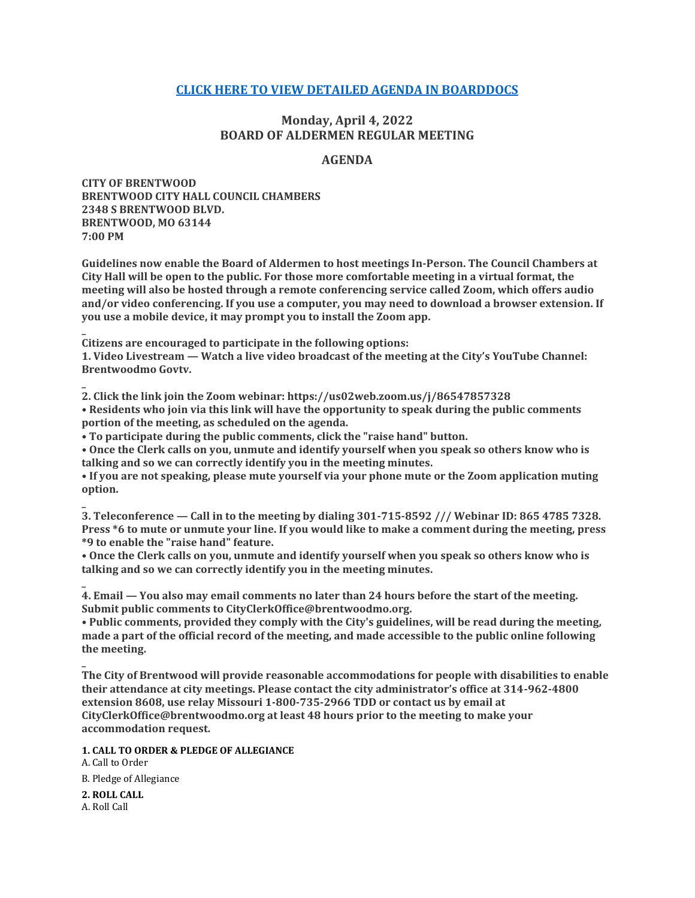## **[CLICK HERE TO VIEW DETAILED AGENDA IN BOARDDOCS](http://go.boarddocs.com/mo/cob/Board.nsf/goto?open&id=CC3SAQ7188B9)**

## **Monday, April 4, 2022 BOARD OF ALDERMEN REGULAR MEETING**

## **AGENDA**

**CITY OF BRENTWOOD BRENTWOOD CITY HALL COUNCIL CHAMBERS 2348 S BRENTWOOD BLVD. BRENTWOOD, MO 63144 7:00 PM**

**Guidelines now enable the Board of Aldermen to host meetings In-Person. The Council Chambers at City Hall will be open to the public. For those more comfortable meeting in a virtual format, the meeting will also be hosted through a remote conferencing service called Zoom, which offers audio and/or video conferencing. If you use a computer, you may need to download a browser extension. If you use a mobile device, it may prompt you to install the Zoom app.**

**Citizens are encouraged to participate in the following options:**

**1. Video Livestream — Watch a live video broadcast of the meeting at the City's YouTube Channel: Brentwoodmo Govtv.**

**2. Click the link join the Zoom webinar: https://us02web.zoom.us/j/86547857328 • Residents who join via this link will have the opportunity to speak during the public comments portion of the meeting, as scheduled on the agenda.**

**• To participate during the public comments, click the "raise hand" button.**

**• Once the Clerk calls on you, unmute and identify yourself when you speak so others know who is talking and so we can correctly identify you in the meeting minutes.**

**• If you are not speaking, please mute yourself via your phone mute or the Zoom application muting option.**

**3. Teleconference — Call in to the meeting by dialing 301-715-8592 /// Webinar ID: 865 4785 7328. Press \*6 to mute or unmute your line. If you would like to make a comment during the meeting, press \*9 to enable the "raise hand" feature.**

**• Once the Clerk calls on you, unmute and identify yourself when you speak so others know who is talking and so we can correctly identify you in the meeting minutes.**

**4. Email — You also may email comments no later than 24 hours before the start of the meeting. Submit public comments to CityClerkOffice@brentwoodmo.org.**

**• Public comments, provided they comply with the City's guidelines, will be read during the meeting, made a part of the official record of the meeting, and made accessible to the public online following the meeting.**

**The City of Brentwood will provide reasonable accommodations for people with disabilities to enable their attendance at city meetings. Please contact the city administrator's office at 314-962-4800 extension 8608, use relay Missouri 1-800-735-2966 TDD or contact us by email at CityClerkOffice@brentwoodmo.org at least 48 hours prior to the meeting to make your accommodation request.**

**1. CALL TO ORDER & PLEDGE OF ALLEGIANCE**

A. Call to Order B. Pledge of Allegiance

**2. ROLL CALL** A. Roll Call

**\_**

**\_**

**\_**

**\_**

**\_**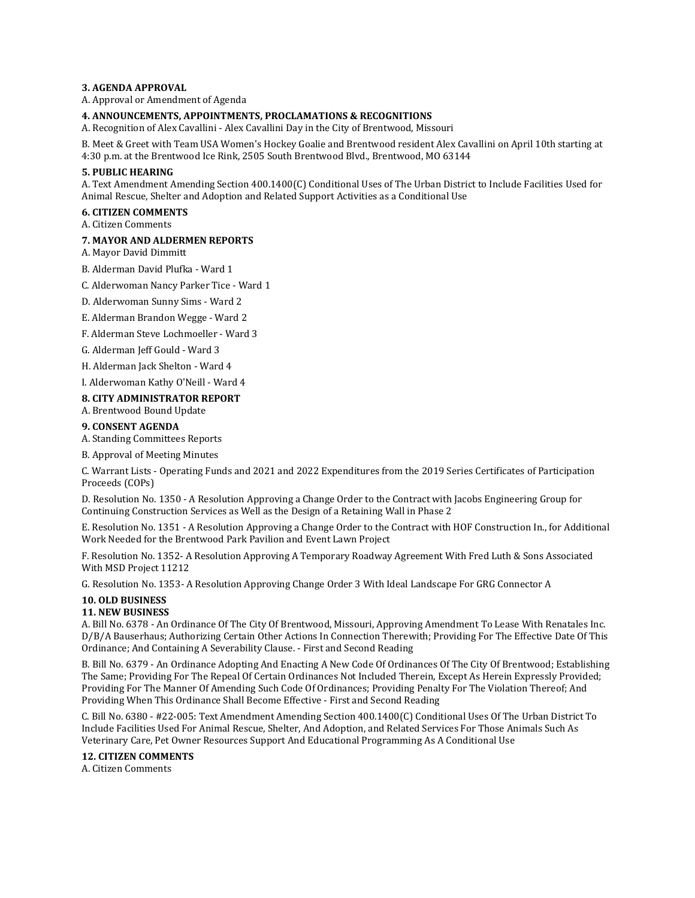#### **3. AGENDA APPROVAL**

A. Approval or Amendment of Agenda

#### **4. ANNOUNCEMENTS, APPOINTMENTS, PROCLAMATIONS & RECOGNITIONS**

A. Recognition of Alex Cavallini - Alex Cavallini Day in the City of Brentwood, Missouri

B. Meet & Greet with Team USA Women's Hockey Goalie and Brentwood resident Alex Cavallini on April 10th starting at 4:30 p.m. at the Brentwood Ice Rink, 2505 South Brentwood Blvd., Brentwood, MO 63144

#### **5. PUBLIC HEARING**

A. Text Amendment Amending Section 400.1400(C) Conditional Uses of The Urban District to Include Facilities Used for Animal Rescue, Shelter and Adoption and Related Support Activities as a Conditional Use

## **6. CITIZEN COMMENTS**

A. Citizen Comments

#### **7. MAYOR AND ALDERMEN REPORTS**

A. Mayor David Dimmitt

- B. Alderman David Plufka Ward 1
- C. Alderwoman Nancy Parker Tice Ward 1
- D. Alderwoman Sunny Sims Ward 2
- E. Alderman Brandon Wegge Ward 2
- F. Alderman Steve Lochmoeller Ward 3
- G. Alderman Jeff Gould Ward 3
- H. Alderman Jack Shelton Ward 4

I. Alderwoman Kathy O'Neill - Ward 4

## **8. CITY ADMINISTRATOR REPORT**

A. Brentwood Bound Update

## **9. CONSENT AGENDA**

A. Standing Committees Reports

B. Approval of Meeting Minutes

C. Warrant Lists - Operating Funds and 2021 and 2022 Expenditures from the 2019 Series Certificates of Participation Proceeds (COPs)

D. Resolution No. 1350 - A Resolution Approving a Change Order to the Contract with Jacobs Engineering Group for Continuing Construction Services as Well as the Design of a Retaining Wall in Phase 2

E. Resolution No. 1351 - A Resolution Approving a Change Order to the Contract with HOF Construction In., for Additional Work Needed for the Brentwood Park Pavilion and Event Lawn Project

F. Resolution No. 1352- A Resolution Approving A Temporary Roadway Agreement With Fred Luth & Sons Associated With MSD Project 11212

G. Resolution No. 1353- A Resolution Approving Change Order 3 With Ideal Landscape For GRG Connector A

# **10. OLD BUSINESS**

# **11. NEW BUSINESS**

A. Bill No. 6378 - An Ordinance Of The City Of Brentwood, Missouri, Approving Amendment To Lease With Renatales Inc. D/B/A Bauserhaus; Authorizing Certain Other Actions In Connection Therewith; Providing For The Effective Date Of This Ordinance; And Containing A Severability Clause. - First and Second Reading

B. Bill No. 6379 - An Ordinance Adopting And Enacting A New Code Of Ordinances Of The City Of Brentwood; Establishing The Same; Providing For The Repeal Of Certain Ordinances Not Included Therein, Except As Herein Expressly Provided; Providing For The Manner Of Amending Such Code Of Ordinances; Providing Penalty For The Violation Thereof; And Providing When This Ordinance Shall Become Effective - First and Second Reading

C. Bill No. 6380 - #22-005: Text Amendment Amending Section 400.1400(C) Conditional Uses Of The Urban District To Include Facilities Used For Animal Rescue, Shelter, And Adoption, and Related Services For Those Animals Such As Veterinary Care, Pet Owner Resources Support And Educational Programming As A Conditional Use

### **12. CITIZEN COMMENTS**

A. Citizen Comments